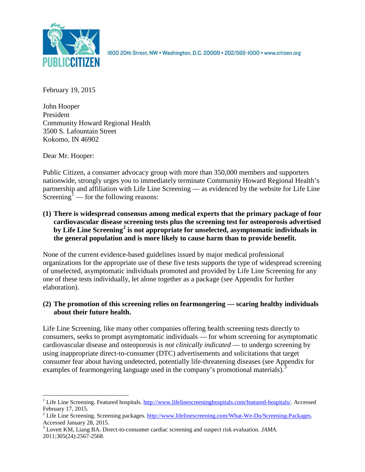

1600 20th Street, NW . Washington, D.C. 20009 . 202/588-1000 . www.citizen.org

February 19, 2015

John Hooper President Community Howard Regional Health 3500 S. Lafountain Street Kokomo, IN 46902

Dear Mr. Hooper:

Public Citizen, a consumer advocacy group with more than 350,000 members and supporters nationwide, strongly urges you to immediately terminate Community Howard Regional Health's partnership and affiliation with Life Line Screening — as evidenced by the website for Life Line Screening<sup>[1](#page-0-0)</sup> — for the following reasons:

**(1) There is widespread consensus among medical experts that the primary package of four cardiovascular disease screening tests plus the screening test for osteoporosis advertised by Life Line Screening[2](#page-0-1) is not appropriate for unselected, asymptomatic individuals in the general population and is more likely to cause harm than to provide benefit.**

None of the current evidence-based guidelines issued by major medical professional organizations for the appropriate use of these five tests supports the type of widespread screening of unselected, asymptomatic individuals promoted and provided by Life Line Screening for any one of these tests individually, let alone together as a package (see Appendix for further elaboration).

# **(2) The promotion of this screening relies on fearmongering — scaring healthy individuals about their future health.**

Life Line Screening, like many other companies offering health screening tests directly to consumers, seeks to prompt asymptomatic individuals — for whom screening for asymptomatic cardiovascular disease and osteoporosis is *not clinically indicated* — to undergo screening by using inappropriate direct-to-consumer (DTC) advertisements and solicitations that target consumer fear about having undetected, potentially life-threatening diseases (see Appendix for examples of fearmongering language used in the company's promotional materials).<sup>[3](#page-0-2)</sup>

<span id="page-0-0"></span><sup>&</sup>lt;sup>1</sup> Life Line Screening. Featured hospitals. [http://www.lifelinescreeninghospitals.com/featured-hospitals/.](http://www.lifelinescreeninghospitals.com/featured-hospitals/) Accessed

<span id="page-0-1"></span>February 17, 2015.<br><sup>2</sup> Life Line Screening. Screening packages. [http://www.lifelinescreening.com/What-We-Do/Screening-Packages.](http://www.lifelinescreening.com/What-We-Do/Screening-Packages)<br>Accessed January 28, 2015.

<span id="page-0-2"></span><sup>&</sup>lt;sup>3</sup> Lovett KM, Liang BA. Direct-to-consumer cardiac screening and suspect risk evaluation. *JAMA*. 2011;305(24):2567-2568.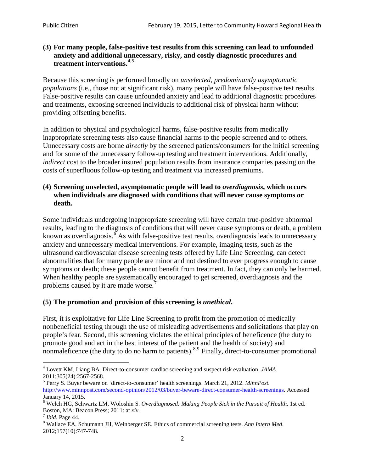## **(3) For many people, false-positive test results from this screening can lead to unfounded anxiety and additional unnecessary, risky, and costly diagnostic procedures and treatment interventions.**[4](#page-1-0),[5](#page-1-1)

Because this screening is performed broadly on *unselected, predominantly asymptomatic populations* (i.e., those not at significant risk), many people will have false**-**positive test results. False-positive results can cause unfounded anxiety and lead to additional diagnostic procedures and treatments, exposing screened individuals to additional risk of physical harm without providing offsetting benefits.

In addition to physical and psychological harms, false-positive results from medically inappropriate screening tests also cause financial harms to the people screened and to others. Unnecessary costs are borne *directly* by the screened patients/consumers for the initial screening and for some of the unnecessary follow-up testing and treatment interventions. Additionally, *indirect* cost to the broader insured population results from insurance companies passing on the costs of superfluous follow-up testing and treatment via increased premiums.

## **(4) Screening unselected, asymptomatic people will lead to** *overdiagnosis***, which occurs when individuals are diagnosed with conditions that will never cause symptoms or death.**

Some individuals undergoing inappropriate screening will have certain true-positive abnormal results, leading to the diagnosis of conditions that will never cause symptoms or death, a problem known as overdiagnosis.<sup>[6](#page-1-2)</sup> As with false-positive test results, overdiagnosis leads to unnecessary anxiety and unnecessary medical interventions. For example, imaging tests, such as the ultrasound cardiovascular disease screening tests offered by Life Line Screening, can detect abnormalities that for many people are minor and not destined to ever progress enough to cause symptoms or death; these people cannot benefit from treatment. In fact, they can only be harmed. When healthy people are systematically encouraged to get screened, overdiagnosis and the problems caused by it are made worse.<sup>[7](#page-1-3)</sup>

# **(5) The promotion and provision of this screening is** *unethical***.**

First, it is exploitative for Life Line Screening to profit from the promotion of medically nonbeneficial testing through the use of misleading advertisements and solicitations that play on people's fear. Second, this screening violates the ethical principles of beneficence (the duty to promote good and act in the best interest of the patient and the health of society) and nonmaleficence (the duty to do no harm to patients).  $8.9$  $8.9$  $8.9$  Finally, direct-to-consumer promotional

<span id="page-1-4"></span>2012;157(10):747-748.

<span id="page-1-5"></span><span id="page-1-0"></span><sup>4</sup> Lovett KM, Liang BA. Direct-to-consumer cardiac screening and suspect risk evaluation. *JAMA*.

<span id="page-1-1"></span><sup>2011;305(24):2567-2568.</sup> <sup>5</sup> Perry S. Buyer beware on 'direct-to-consumer' health screenings. March 21, 2012. *MinnPost.*  [http://www.minnpost.com/second-opinion/2012/03/buyer-beware-direct-consumer-health-screenings.](http://www.minnpost.com/second-opinion/2012/03/buyer-beware-direct-consumer-health-screenings) Accessed January 14, 2015.

<span id="page-1-2"></span><sup>6</sup> Welch HG, Schwartz LM, Woloshin S. *Overdiagnosed: Making People Sick in the Pursuit of Health*. 1st ed. Boston, MA: Beacon Press; 2011: at *xiv*.<br><sup>7</sup> *Ibid*. Page 44.<br><sup>8</sup> Wallace EA, Schumann JH, Weinberger SE. Ethics of commercial screening tests. *Ann Intern Med*.

<span id="page-1-3"></span>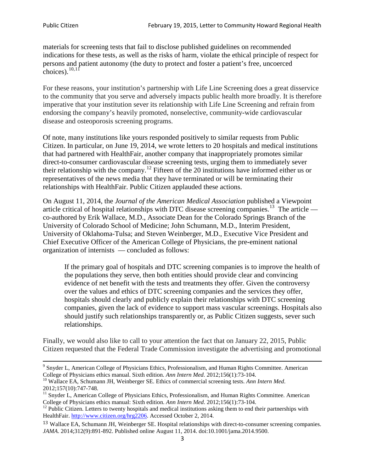materials for screening tests that fail to disclose published guidelines on recommended indications for these tests, as well as the risks of harm, violate the ethical principle of respect for persons and patient autonomy (the duty to protect and foster a patient's free, uncoerced choices). $\frac{10,11}{10,11}$  $\frac{10,11}{10,11}$  $\frac{10,11}{10,11}$  $\frac{10,11}{10,11}$ 

For these reasons, your institution's partnership with Life Line Screening does a great disservice to the community that you serve and adversely impacts public health more broadly. It is therefore imperative that your institution sever its relationship with Life Line Screening and refrain from endorsing the company's heavily promoted, nonselective, community**-**wide cardiovascular disease and osteoporosis screening programs.

Of note, many institutions like yours responded positively to similar requests from Public Citizen. In particular, on June 19, 2014, we wrote letters to 20 hospitals and medical institutions that had partnered with HealthFair, another company that inappropriately promotes similar direct-to-consumer cardiovascular disease screening tests, urging them to immediately sever their relationship with the company. [12](#page-2-2) Fifteen of the 20 institutions have informed either us or representatives of the news media that they have terminated or will be terminating their relationships with HealthFair. Public Citizen applauded these actions.

On August 11, 2014, the *Journal of the American Medical Association* published a Viewpoint article critical of hospital relationships with DTC disease screening companies.<sup>13</sup> The article co-authored by Erik Wallace, M.D., Associate Dean for the Colorado Springs Branch of the University of Colorado School of Medicine; John Schumann, M.D., Interim President, University of Oklahoma-Tulsa; and Steven Weinberger, M.D., Executive Vice President and Chief Executive Officer of the American College of Physicians, the pre**-**eminent national organization of internists — concluded as follows:

If the primary goal of hospitals and DTC screening companies is to improve the health of the populations they serve, then both entities should provide clear and convincing evidence of net benefit with the tests and treatments they offer. Given the controversy over the values and ethics of DTC screening companies and the services they offer, hospitals should clearly and publicly explain their relationships with DTC screening companies, given the lack of evidence to support mass vascular screenings. Hospitals also should justify such relationships transparently or, as Public Citizen suggests, sever such relationships.

Finally, we would also like to call to your attention the fact that on January 22, 2015, Public Citizen requested that the Federal Trade Commission investigate the advertising and promotional

<sup>&</sup>lt;sup>9</sup> Snyder L, American College of Physicians Ethics, Professionalism, and Human Rights Committee. American College of Physicians ethics manual. Sixth edition. Ann Intern Med. 2012;156(1):73-104.

<span id="page-2-0"></span><sup>&</sup>lt;sup>10</sup> Wallace EA, Schumann JH, Weinberger SE. Ethics of commercial screening tests. *Ann Intern Med*. 2012;157(10):747-748.

<span id="page-2-1"></span> $11$  Snyder L, American College of Physicians Ethics, Professionalism, and Human Rights Committee. American College of Physicians ethics manual: Sixth edition. *Ann Intern Med*. 2012;156(1):73-104.<br><sup>12</sup> Public Citizen. Letters to twenty hospitals and medical institutions asking them to end their partnerships with

<span id="page-2-2"></span>HealthFair. [http://www.citizen.org/hrg2206.](http://www.citizen.org/hrg2206) Accessed October 2, 2014.

<span id="page-2-3"></span><sup>13</sup> Wallace EA, Schumann JH, Weinberger SE. Hospital relationships with direct-to-consumer screening companies. *JAMA*. 2014;312(9):891-892. Published online August 11, 2014. doi:10.1001/jama.2014.9500.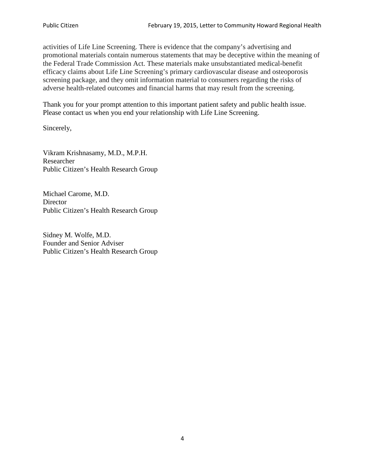activities of Life Line Screening. There is evidence that the company's advertising and promotional materials contain numerous statements that may be deceptive within the meaning of the Federal Trade Commission Act. These materials make unsubstantiated medical-benefit efficacy claims about Life Line Screening's primary cardiovascular disease and osteoporosis screening package, and they omit information material to consumers regarding the risks of adverse health-related outcomes and financial harms that may result from the screening.

Thank you for your prompt attention to this important patient safety and public health issue. Please contact us when you end your relationship with Life Line Screening.

Sincerely,

Vikram Krishnasamy, M.D., M.P.H. Researcher Public Citizen's Health Research Group

Michael Carome, M.D. **Director** Public Citizen's Health Research Group

Sidney M. Wolfe, M.D. Founder and Senior Adviser Public Citizen's Health Research Group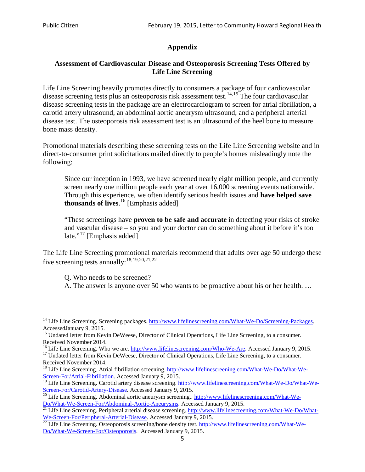# **Appendix**

# **Assessment of Cardiovascular Disease and Osteoporosis Screening Tests Offered by Life Line Screening**

Life Line Screening heavily promotes directly to consumers a package of four cardiovascular disease screening tests plus an osteoporosis risk assessment test.<sup>[14](#page-4-0),[15](#page-4-1)</sup> The four cardiovascular disease screening tests in the package are an electrocardiogram to screen for atrial fibrillation, a carotid artery ultrasound, an abdominal aortic aneurysm ultrasound, and a peripheral arterial disease test. The osteoporosis risk assessment test is an ultrasound of the heel bone to measure bone mass density.

Promotional materials describing these screening tests on the Life Line Screening website and in direct-to-consumer print solicitations mailed directly to people's homes misleadingly note the following:

Since our inception in 1993, we have screened nearly eight million people, and currently screen nearly one million people each year at over 16,000 screening events nationwide. Through this experience, we often identify serious health issues and **have helped save thousands of lives**. [16](#page-4-2) [Emphasis added]

"These screenings have **proven to be safe and accurate** in detecting your risks of stroke and vascular disease – so you and your doctor can do something about it before it's too late."<sup>[17](#page-4-3)</sup> [Emphasis added]

The Life Line Screening promotional materials recommend that adults over age 50 undergo these five screening tests annually:<sup>[18](#page-4-4),[19,](#page-4-5)[20,](#page-4-6)[21](#page-4-7),[22](#page-4-8)</sup>

Q. Who needs to be screened?

A. The answer is anyone over 50 who wants to be proactive about his or her health. …

<span id="page-4-0"></span><sup>&</sup>lt;sup>14</sup> Life Line Screening. Screening packages. [http://www.lifelinescreening.com/What-We-Do/Screening-Packages.](http://www.lifelinescreening.com/What-We-Do/Screening-Packages) AccessedJanuary 9, 2015.

<span id="page-4-1"></span><sup>&</sup>lt;sup>15</sup> Undated letter from Kevin DeWeese, Director of Clinical Operations, Life Line Screening, to a consumer.

Received November 2014.<br><sup>16</sup> Life Line Screening. Who we are. http://www.lifelinescreening.com/Who-We-Are. Accessed January 9, 2015.

<span id="page-4-3"></span><span id="page-4-2"></span><sup>&</sup>lt;sup>17</sup> Undated letter from Kevin DeWeese, Director of Clinical Operations, Life Line Screening, to a consumer. Received November 2014.

<span id="page-4-4"></span><sup>&</sup>lt;sup>18</sup> Life Line Screening. Atrial fibrillation screening. [http://www.lifelinescreening.com/What-We-Do/What-We-](http://www.lifelinescreening.com/What-We-Do/What-We-Screen-For/Atrial-Fibrillation)[Screen-For/Atrial-Fibrillation.](http://www.lifelinescreening.com/What-We-Do/What-We-Screen-For/Atrial-Fibrillation) Accessed January 9, 2015.

<sup>&</sup>lt;sup>19</sup> Life Line Screening. Carotid artery disease screening. [http://www.lifelinescreening.com/What-We-Do/What-We-](http://www.lifelinescreening.com/What-We-Do/What-We-Screen-For/Carotid-Artery-Disease)

<span id="page-4-6"></span><span id="page-4-5"></span>[Screen-For/Carotid-Artery-Disease.](http://www.lifelinescreening.com/What-We-Do/What-We-Screen-For/Carotid-Artery-Disease) Accessed January 9, 2015.<br><sup>20</sup> Life Line Screening. Abdominal aortic aneurysm screening.. http://www.lifelinescreening.com/What-We-Do/What-We-Do/What-We-Screen-For/Abdominal-Aortic-Aneury

<span id="page-4-7"></span><sup>&</sup>lt;sup>21</sup> Life Line Screening. Peripheral arterial disease screening. [http://www.lifelinescreening.com/What-We-Do/What-](http://www.lifelinescreening.com/What-We-Do/What-We-Screen-For/Peripheral-Arterial-Disease)

<span id="page-4-8"></span>[We-Screen-For/Peripheral-Arterial-Disease.](http://www.lifelinescreening.com/What-We-Do/What-We-Screen-For/Peripheral-Arterial-Disease) Accessed January 9, 2015.<br><sup>22</sup> Life Line Screening. Osteoporosis screening/bone density test. [http://www.lifelinescreening.com/What-We-](http://www.lifelinescreening.com/What-We-Do/What-We-Screen-For/Osteoporosis)[Do/What-We-Screen-For/Osteoporosis.](http://www.lifelinescreening.com/What-We-Do/What-We-Screen-For/Osteoporosis) Accessed January 9, 2015.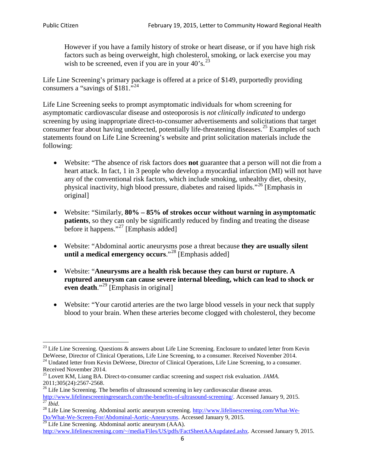However if you have a family history of stroke or heart disease, or if you have high risk factors such as being overweight, high cholesterol, smoking, or lack exercise you may wish to be screened, even if you are in your  $40^\circ$ s.<sup>[23](#page-5-0)</sup>

Life Line Screening's primary package is offered at a price of \$149, purportedly providing consumers a "savings of \$181."[24](#page-5-1)

Life Line Screening seeks to prompt asymptomatic individuals for whom screening for asymptomatic cardiovascular disease and osteoporosis is *not clinically indicated* to undergo screening by using inappropriate direct-to-consumer advertisements and solicitations that target consumer fear about having undetected, potentially life-threatening diseases.<sup>[25](#page-5-2)</sup> Examples of such statements found on Life Line Screening's website and print solicitation materials include the following:

- Website: "The absence of risk factors does **not** guarantee that a person will not die from a heart attack. In fact, 1 in 3 people who develop a myocardial infarction (MI) will not have any of the conventional risk factors, which include smoking, unhealthy diet, obesity, physical inactivity, high blood pressure, diabetes and raised lipids."[26](#page-5-3) [Emphasis in original]
- Website: "Similarly, **80% – 85% of strokes occur without warning in asymptomatic patients**, so they can only be significantly reduced by finding and treating the disease before it happens."<sup>[27](#page-5-4)</sup> [Emphasis added]
- Website: "Abdominal aortic aneurysms pose a threat because **they are usually silent until a medical emergency occurs**."[28](#page-5-5) [Emphasis added]
- Website: "**Aneurysms are a health risk because they can burst or rupture. A ruptured aneurysm can cause severe internal bleeding, which can lead to shock or even death.**"<sup>[29](#page-5-6)</sup> [Emphasis in original]
- Website: "Your carotid arteries are the two large blood vessels in your neck that supply blood to your brain. When these arteries become clogged with cholesterol, they become

<span id="page-5-0"></span><sup>&</sup>lt;sup>23</sup> Life Line Screening. Questions  $\&$  answers about Life Line Screening. Enclosure to undated letter from Kevin DeWeese, Director of Clinical Operations, Life Line Screening, to a consumer. Received November 2014. 24 Undated letter from Kevin DeWeese, Director of Clinical Operations, Life Line Screening, to a consumer.

<span id="page-5-1"></span>Received November 2014.

<span id="page-5-2"></span><sup>25</sup> Lovett KM, Liang BA. Direct-to-consumer cardiac screening and suspect risk evaluation. *JAMA*.  $2011;305(24):2567-2568$ .<br><sup>26</sup> Life Line Screening. The benefits of ultrasound screening in key cardiovascular disease areas.

<span id="page-5-3"></span>[http://www.lifelinescreeningresearch.com/the-benefits-of-ultrasound-screening/.](http://www.lifelinescreeningresearch.com/the-benefits-of-ultrasound-screening/) Accessed January 9, 2015.<br><sup>28</sup> Life Line Screening. Abdominal aortic aneurysm screening. http://www.lifelinescreening.com/What-We-<br><sup>28</sup> Life L

<span id="page-5-5"></span><span id="page-5-4"></span>[Do/What-We-Screen-For/Abdominal-Aortic-Aneurysms.](http://www.lifelinescreening.com/What-We-Do/What-We-Screen-For/Abdominal-Aortic-Aneurysms) Accessed January 9, 2015. <sup>29</sup> Life Line Screening. Abdominal aortic aneurysm (AAA).

<span id="page-5-6"></span>[http://www.lifelinescreening.com/~/media/Files/US/pdfs/FactSheetAAAupdated.ashx.](http://www.lifelinescreening.com/~/media/Files/US/pdfs/FactSheetAAAupdated.ashx) Accessed January 9, 2015.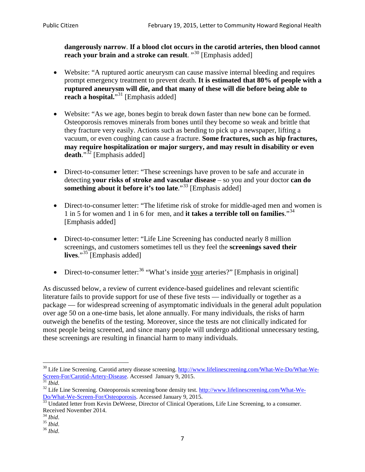**dangerously narrow**. **If a blood clot occurs in the carotid arteries, then blood cannot reach your brain and a stroke can result**. "<sup>[30](#page-6-0)</sup> [Emphasis added]

- Website: "A ruptured aortic aneurysm can cause massive internal bleeding and requires prompt emergency treatment to prevent death. **It is estimated that 80% of people with a ruptured aneurysm will die, and that many of these will die before being able to reach a hospital.**"<sup>[31](#page-6-1)</sup> [Emphasis added]
- Website: "As we age, bones begin to break down faster than new bone can be formed. Osteoporosis removes minerals from bones until they become so weak and brittle that they fracture very easily. Actions such as bending to pick up a newspaper, lifting a vacuum, or even coughing can cause a fracture. **Some fractures, such as hip fractures, may require hospitalization or major surgery, and may result in disability or even**  death."<sup>[32](#page-6-2)</sup> [Emphasis added]
- Direct-to-consumer letter: "These screenings have proven to be safe and accurate in detecting **your risks of stroke and vascular disease** – so you and your doctor **can do something about it before it's too late.**"<sup>[33](#page-6-3)</sup> [Emphasis added]
- Direct-to-consumer letter: "The lifetime risk of stroke for middle-aged men and women is 1 in 5 for women and 1 in 6 for men, and **it takes a terrible toll on families**."[34](#page-6-4) [Emphasis added]
- Direct-to-consumer letter: "Life Line Screening has conducted nearly 8 million screenings, and customers sometimes tell us they feel the **screenings saved their lives**."[35](#page-6-5) [Emphasis added]
- Direct-to-consumer letter:  $36$  "What's inside your arteries?" [Emphasis in original]

As discussed below, a review of current evidence-based guidelines and relevant scientific literature fails to provide support for use of these five tests — individually or together as a package — for widespread screening of asymptomatic individuals in the general adult population over age 50 on a one-time basis, let alone annually. For many individuals, the risks of harm outweigh the benefits of the testing. Moreover, since the tests are not clinically indicated for most people being screened, and since many people will undergo additional unnecessary testing, these screenings are resulting in financial harm to many individuals.

<span id="page-6-0"></span><sup>&</sup>lt;sup>30</sup> Life Line Screening. Carotid artery disease screening. [http://www.lifelinescreening.com/What-We-Do/What-We-](http://www.lifelinescreening.com/What-We-Do/What-We-Screen-For/Carotid-Artery-Disease)[Screen-For/Carotid-Artery-Disease.](http://www.lifelinescreening.com/What-We-Do/What-We-Screen-For/Carotid-Artery-Disease) Accessed January 9, 2015.<br><sup>31</sup> *Ibid.* 32 Life Line Screening. Osteoporosis screening/bone density test. [http://www.lifelinescreening.com/What-We-](http://www.lifelinescreening.com/What-We-Do/What-We-Screen-For/Osteoporosis)

<span id="page-6-2"></span><span id="page-6-1"></span>[Do/What-We-Screen-For/Osteoporosis.](http://www.lifelinescreening.com/What-We-Do/What-We-Screen-For/Osteoporosis) Accessed January 9, 2015. <sup>33</sup> Undated letter from Kevin DeWeese, Director of Clinical Operations, Life Line Screening, to a consumer.

<span id="page-6-3"></span>Received November 2014.<br><sup>34</sup> Ibid.

<span id="page-6-4"></span>

<span id="page-6-5"></span><sup>34</sup> *Ibid*. 35 *Ibid*. 36 *Ibid*.

<span id="page-6-6"></span>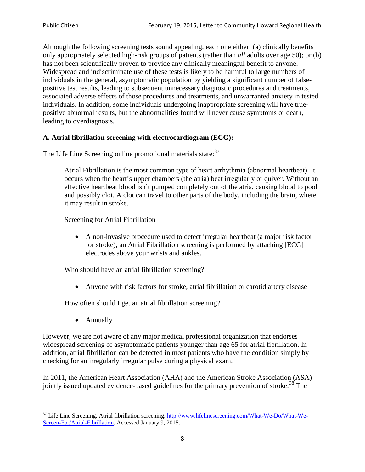Although the following screening tests sound appealing, each one either: (a) clinically benefits only appropriately selected high-risk groups of patients (rather than *all* adults over age 50); or (b) has not been scientifically proven to provide any clinically meaningful benefit to anyone. Widespread and indiscriminate use of these tests is likely to be harmful to large numbers of individuals in the general, asymptomatic population by yielding a significant number of falsepositive test results, leading to subsequent unnecessary diagnostic procedures and treatments, associated adverse effects of those procedures and treatments, and unwarranted anxiety in tested individuals. In addition, some individuals undergoing inappropriate screening will have truepositive abnormal results, but the abnormalities found will never cause symptoms or death, leading to overdiagnosis.

# **A. Atrial fibrillation screening with electrocardiogram (ECG):**

The Life Line Screening online promotional materials state:<sup>[37](#page-7-0)</sup>

Atrial Fibrillation is the most common type of heart arrhythmia (abnormal heartbeat). It occurs when the heart's upper chambers (the atria) beat irregularly or quiver. Without an effective heartbeat blood isn't pumped completely out of the atria, causing blood to pool and possibly clot. A clot can travel to other parts of the body, including the brain, where it may result in stroke.

Screening for Atrial Fibrillation

• A non-invasive procedure used to detect irregular heartbeat (a major risk factor for stroke), an Atrial Fibrillation screening is performed by attaching [ECG] electrodes above your wrists and ankles.

Who should have an atrial fibrillation screening?

• Anyone with risk factors for stroke, atrial fibrillation or carotid artery disease

How often should I get an atrial fibrillation screening?

• Annually

<span id="page-7-1"></span>However, we are not aware of any major medical professional organization that endorses widespread screening of asymptomatic patients younger than age 65 for atrial fibrillation. In addition, atrial fibrillation can be detected in most patients who have the condition simply by checking for an irregularly irregular pulse during a physical exam.

In 2011, the American Heart Association (AHA) and the American Stroke Association (ASA) jointly issued updated evidence-based guidelines for the primary prevention of stroke.<sup>[38](#page-7-1)</sup> The

<span id="page-7-0"></span><sup>&</sup>lt;sup>37</sup> Life Line Screening. Atrial fibrillation screening. [http://www.lifelinescreening.com/What-We-Do/What-We-](http://www.lifelinescreening.com/What-We-Do/What-We-Screen-For/Atrial-Fibrillation)[Screen-For/Atrial-Fibrillation.](http://www.lifelinescreening.com/What-We-Do/What-We-Screen-For/Atrial-Fibrillation) Accessed January 9, 2015.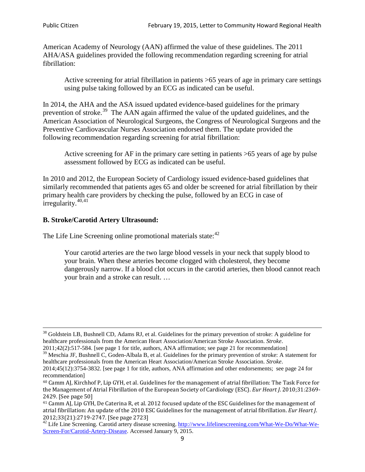American Academy of Neurology (AAN) affirmed the value of these guidelines. The 2011 AHA/ASA guidelines provided the following recommendation regarding screening for atrial fibrillation:

Active screening for atrial fibrillation in patients >65 years of age in primary care settings using pulse taking followed by an ECG as indicated can be useful.

In 2014, the AHA and the ASA issued updated evidence-based guidelines for the primary prevention of stroke.<sup>[39](#page-8-0)</sup> The AAN again affirmed the value of the updated guidelines, and the American Association of Neurological Surgeons, the Congress of Neurological Surgeons and the Preventive Cardiovascular Nurses Association endorsed them. The update provided the following recommendation regarding screening for atrial fibrillation:

Active screening for AF in the primary care setting in patients >65 years of age by pulse assessment followed by ECG as indicated can be useful.

In 2010 and 2012, the European Society of Cardiology issued evidence-based guidelines that similarly recommended that patients ages 65 and older be screened for atrial fibrillation by their primary health care providers by checking the pulse, followed by an ECG in case of irregularity. $40,41$  $40,41$ 

# **B. Stroke/Carotid Artery Ultrasound:**

The Life Line Screening online promotional materials state:<sup>[42](#page-8-3)</sup>

Your carotid arteries are the two large blood vessels in your neck that supply blood to your brain. When these arteries become clogged with cholesterol, they become dangerously narrow. If a blood clot occurs in the carotid arteries, then blood cannot reach your brain and a stroke can result. …

<sup>&</sup>lt;sup>38</sup> Goldstein LB, Bushnell CD, Adams RJ, et al. Guidelines for the primary prevention of stroke: A guideline for healthcare professionals from the American Heart Association/American Stroke Association. *Stroke*.

<sup>2011;42(2):517-584.</sup> [see page 1 for title, authors, ANA affirmation; see page 21 for recommendation]

<span id="page-8-0"></span> $\frac{2011,42(2)(317,601)}{39}$  Meschia JF, Bushnell C, Goden-Albala B, et al. Guidelines for the primary prevention of stroke: A statement for healthcare professionals from the American Heart Association/American Stroke Association. *Stroke*.

<sup>2014;45(12):3754-3832.</sup> [see page 1 for title, authors, ANA affirmation and other endorsements; see page 24 for recommendation]

<span id="page-8-1"></span><sup>40</sup> Camm AJ, Kirchhof P, Lip GYH, et al. Guidelines for the management of atrial fibrillation: The Task Force for the Management of Atrial Fibrillation of the European Society of Cardiology (ESC). *Eur Heart J*. 2010;31:2369- 2429. [See page 50]

<span id="page-8-2"></span><sup>41</sup> Camm AJ, Lip GYH, De Caterina R, et al. 2012 focused update of the ESC Guidelines for the management of atrial fibrillation: An update of the 2010 ESC Guidelines for the management of atrial fibrillation. *Eur Heart J*.

<span id="page-8-3"></span><sup>&</sup>lt;sup>2012</sup>;23(21):2719-2747. [See page 2733] 42 Life Line Screening. [http://www.lifelinescreening.com/What-We-Do/What-We-](http://www.lifelinescreening.com/What-We-Do/What-We-Screen-For/Carotid-Artery-Disease)[Screen-For/Carotid-Artery-Disease.](http://www.lifelinescreening.com/What-We-Do/What-We-Screen-For/Carotid-Artery-Disease) Accessed January 9, 2015.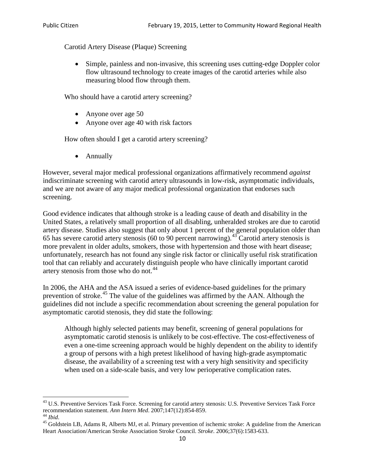Carotid Artery Disease (Plaque) Screening

• Simple, painless and non-invasive, this screening uses cutting-edge Doppler color flow ultrasound technology to create images of the carotid arteries while also measuring blood flow through them.

Who should have a carotid artery screening?

- Anyone over age 50
- Anyone over age 40 with risk factors

How often should I get a carotid artery screening?

• Annually

However, several major medical professional organizations affirmatively recommend *against* indiscriminate screening with carotid artery ultrasounds in low-risk, asymptomatic individuals, and we are not aware of any major medical professional organization that endorses such screening.

Good evidence indicates that although stroke is a leading cause of death and disability in the United States, a relatively small proportion of all disabling, unheralded strokes are due to carotid artery disease. Studies also suggest that only about 1 percent of the general population older than 65 has severe carotid artery stenosis (60 to 90 percent narrowing).<sup>[43](#page-9-0)</sup> Carotid artery stenosis is more prevalent in older adults, smokers, those with hypertension and those with heart disease; unfortunately, research has not found any single risk factor or clinically useful risk stratification tool that can reliably and accurately distinguish people who have clinically important carotid artery stenosis from those who do not.<sup>[44](#page-9-1)</sup>

In 2006, the AHA and the ASA issued a series of evidence-based guidelines for the primary prevention of stroke.<sup>[45](#page-9-2)</sup> The value of the guidelines was affirmed by the AAN. Although the guidelines did not include a specific recommendation about screening the general population for asymptomatic carotid stenosis, they did state the following:

Although highly selected patients may benefit, screening of general populations for asymptomatic carotid stenosis is unlikely to be cost-effective. The cost-effectiveness of even a one-time screening approach would be highly dependent on the ability to identify a group of persons with a high pretest likelihood of having high-grade asymptomatic disease, the availability of a screening test with a very high sensitivity and specificity when used on a side-scale basis, and very low perioperative complication rates.

<span id="page-9-0"></span> $^{43}$  U.S. Preventive Services Task Force. Screening for carotid artery stenosis: U.S. Preventive Services Task Force recommendation statement. Ann Intern Med. 2007;147(12):854-859.

<span id="page-9-2"></span>

<span id="page-9-1"></span><sup>&</sup>lt;sup>44</sup> *Ibid*. <sup>45</sup> Goldstein LB, Adams R, Alberts MJ, et al. Primary prevention of ischemic stroke: A guideline from the American <sup>45</sup> Goldstein LB, Adams R, Alberts MJ, et al. Primary prevention of ischemic stroke: A guide Heart Association/American Stroke Association Stroke Council. *Stroke*. 2006;37(6):1583-633.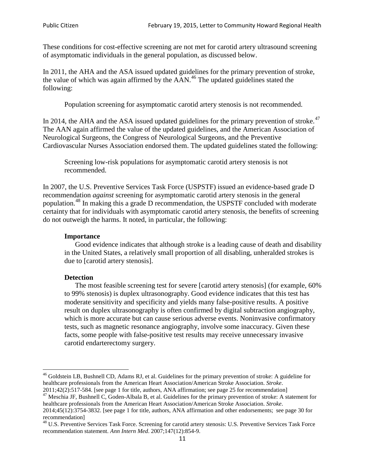These conditions for cost-effective screening are not met for carotid artery ultrasound screening of asymptomatic individuals in the general population, as discussed below.

In 2011, the AHA and the ASA issued updated guidelines for the primary prevention of stroke, the value of which was again affirmed by the  $AAN<sup>46</sup>$  $AAN<sup>46</sup>$  $AAN<sup>46</sup>$ . The updated guidelines stated the following:

Population screening for asymptomatic carotid artery stenosis is not recommended.

In 2014, the AHA and the ASA issued updated guidelines for the primary prevention of stroke.<sup>47</sup> The AAN again affirmed the value of the updated guidelines, and the American Association of Neurological Surgeons, the Congress of Neurological Surgeons, and the Preventive Cardiovascular Nurses Association endorsed them. The updated guidelines stated the following:

Screening low-risk populations for asymptomatic carotid artery stenosis is not recommended.

In 2007, the U.S. Preventive Services Task Force (USPSTF) issued an evidence-based grade D recommendation *against* screening for asymptomatic carotid artery stenosis in the general population.[48](#page-10-2) In making this a grade D recommendation, the USPSTF concluded with moderate certainty that for individuals with asymptomatic carotid artery stenosis, the benefits of screening do not outweigh the harms. It noted, in particular, the following:

#### **Importance**

Good evidence indicates that although stroke is a leading cause of death and disability in the United States, a relatively small proportion of all disabling, unheralded strokes is due to [carotid artery stenosis].

#### **Detection**

The most feasible screening test for severe [carotid artery stenosis] (for example, 60% to 99% stenosis) is duplex ultrasonography. Good evidence indicates that this test has moderate sensitivity and specificity and yields many false-positive results. A positive result on duplex ultrasonography is often confirmed by digital subtraction angiography, which is more accurate but can cause serious adverse events. Noninvasive confirmatory tests, such as magnetic resonance angiography, involve some inaccuracy. Given these facts, some people with false-positive test results may receive unnecessary invasive carotid endarterectomy surgery.

<span id="page-10-0"></span><sup>&</sup>lt;sup>46</sup> Goldstein LB, Bushnell CD, Adams RJ, et al. Guidelines for the primary prevention of stroke: A guideline for healthcare professionals from the American Heart Association/American Stroke Association. *Stroke*.<br>2011;42(2):517-584. [see page 1 for title, authors, ANA affirmation; see page 25 for recommendation]

<span id="page-10-1"></span><sup>&</sup>lt;sup>47</sup> Meschia JF, Bushnell C, Goden-Albala B, et al. Guidelines for the primary prevention of stroke: A statement for healthcare professionals from the American Heart Association/American Stroke Association. *Stroke*. 2014;45(12):3754-3832. [see page 1 for title, authors, ANA affirmation and other endorsements; see page 30 for

recommendation]

<span id="page-10-2"></span><sup>&</sup>lt;sup>48</sup> U.S. Preventive Services Task Force. Screening for carotid artery stenosis: U.S. Preventive Services Task Force recommendation statement. *Ann Intern Med*. 2007;147(12):854-9.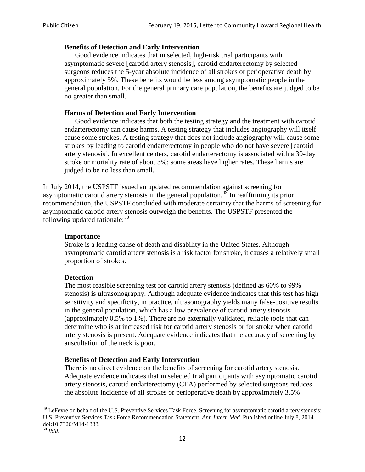#### **Benefits of Detection and Early Intervention**

Good evidence indicates that in selected, high-risk trial participants with asymptomatic severe [carotid artery stenosis], carotid endarterectomy by selected surgeons reduces the 5-year absolute incidence of all strokes or perioperative death by approximately 5%. These benefits would be less among asymptomatic people in the general population. For the general primary care population, the benefits are judged to be no greater than small.

### **Harms of Detection and Early Intervention**

Good evidence indicates that both the testing strategy and the treatment with carotid endarterectomy can cause harms. A testing strategy that includes angiography will itself cause some strokes. A testing strategy that does not include angiography will cause some strokes by leading to carotid endarterectomy in people who do not have severe [carotid artery stenosis]. In excellent centers, carotid endarterectomy is associated with a 30-day stroke or mortality rate of about 3%; some areas have higher rates. These harms are judged to be no less than small.

In July 2014, the USPSTF issued an updated recommendation against screening for asymptomatic carotid artery stenosis in the general population.<sup>[49](#page-11-0)</sup> In reaffirming its prior recommendation, the USPSTF concluded with moderate certainty that the harms of screening for asymptomatic carotid artery stenosis outweigh the benefits. The USPSTF presented the following updated rationale: $50$ 

#### **Importance**

Stroke is a leading cause of death and disability in the United States. Although asymptomatic carotid artery stenosis is a risk factor for stroke, it causes a relatively small proportion of strokes.

#### **Detection**

The most feasible screening test for carotid artery stenosis (defined as 60% to 99% stenosis) is ultrasonography. Although adequate evidence indicates that this test has high sensitivity and specificity, in practice, ultrasonography yields many false-positive results in the general population, which has a low prevalence of carotid artery stenosis (approximately 0.5% to 1%). There are no externally validated, reliable tools that can determine who is at increased risk for carotid artery stenosis or for stroke when carotid artery stenosis is present. Adequate evidence indicates that the accuracy of screening by auscultation of the neck is poor.

# **Benefits of Detection and Early Intervention**

There is no direct evidence on the benefits of screening for carotid artery stenosis. Adequate evidence indicates that in selected trial participants with asymptomatic carotid artery stenosis, carotid endarterectomy (CEA) performed by selected surgeons reduces the absolute incidence of all strokes or perioperative death by approximately 3.5%

<span id="page-11-0"></span><sup>&</sup>lt;sup>49</sup> LeFevre on behalf of the U.S. Preventive Services Task Force. Screening for asymptomatic carotid artery stenosis: U.S. Preventive Services Task Force Recommendation Statement. *Ann Intern Med*. Published online July 8, 2014. doi:10.7326/M14-1333. <sup>50</sup> *Ibid*.

<span id="page-11-1"></span>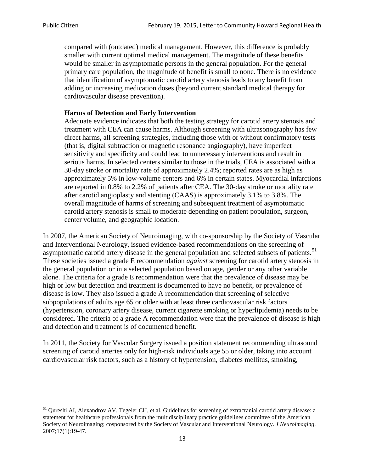compared with (outdated) medical management. However, this difference is probably smaller with current optimal medical management. The magnitude of these benefits would be smaller in asymptomatic persons in the general population. For the general primary care population, the magnitude of benefit is small to none. There is no evidence that identification of asymptomatic carotid artery stenosis leads to any benefit from adding or increasing medication doses (beyond current standard medical therapy for cardiovascular disease prevention).

## **Harms of Detection and Early Intervention**

Adequate evidence indicates that both the testing strategy for carotid artery stenosis and treatment with CEA can cause harms. Although screening with ultrasonography has few direct harms, all screening strategies, including those with or without confirmatory tests (that is, digital subtraction or magnetic resonance angiography), have imperfect sensitivity and specificity and could lead to unnecessary interventions and result in serious harms. In selected centers similar to those in the trials, CEA is associated with a 30-day stroke or mortality rate of approximately 2.4%; reported rates are as high as approximately 5% in low-volume centers and 6% in certain states. Myocardial infarctions are reported in 0.8% to 2.2% of patients after CEA. The 30-day stroke or mortality rate after carotid angioplasty and stenting (CAAS) is approximately 3.1% to 3.8%. The overall magnitude of harms of screening and subsequent treatment of asymptomatic carotid artery stenosis is small to moderate depending on patient population, surgeon, center volume, and geographic location.

In 2007, the American Society of Neuroimaging, with co-sponsorship by the Society of Vascular and Interventional Neurology, issued evidence-based recommendations on the screening of asymptomatic carotid artery disease in the general population and selected subsets of patients.<sup>[51](#page-12-0)</sup> These societies issued a grade E recommendation *against* screening for carotid artery stenosis in the general population or in a selected population based on age, gender or any other variable alone. The criteria for a grade E recommendation were that the prevalence of disease may be high or low but detection and treatment is documented to have no benefit, or prevalence of disease is low. They also issued a grade A recommendation that screening of selective subpopulations of adults age 65 or older with at least three cardiovascular risk factors (hypertension, coronary artery disease, current cigarette smoking or hyperlipidemia) needs to be considered. The criteria of a grade A recommendation were that the prevalence of disease is high and detection and treatment is of documented benefit.

In 2011, the Society for Vascular Surgery issued a position statement recommending ultrasound screening of carotid arteries only for high-risk individuals age 55 or older, taking into account cardiovascular risk factors, such as a history of hypertension, diabetes mellitus, smoking,

<span id="page-12-0"></span><sup>&</sup>lt;sup>51</sup> Oureshi AI, Alexandrov AV, Tegeler CH, et al. Guidelines for screening of extracranial carotid artery disease: a statement for healthcare professionals from the multidisciplinary practice guidelines committee of the American Society of Neuroimaging; cosponsored by the Society of Vascular and Interventional Neurology. *J Neuroimaging*. 2007;17(1):19-47.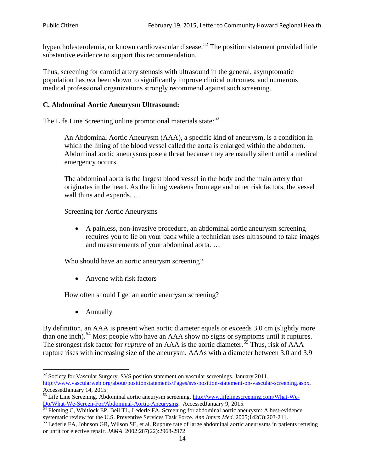hypercholesterolemia, or known cardiovascular disease.<sup>[52](#page-13-0)</sup> The position statement provided little substantive evidence to support this recommendation.

Thus, screening for carotid artery stenosis with ultrasound in the general, asymptomatic population has *not* been shown to significantly improve clinical outcomes, and numerous medical professional organizations strongly recommend against such screening.

## **C. Abdominal Aortic Aneurysm Ultrasound:**

The Life Line Screening online promotional materials state:<sup>[53](#page-13-1)</sup>

An Abdominal Aortic Aneurysm (AAA), a specific kind of aneurysm, is a condition in which the lining of the blood vessel called the aorta is enlarged within the abdomen. Abdominal aortic aneurysms pose a threat because they are usually silent until a medical emergency occurs.

The abdominal aorta is the largest blood vessel in the body and the main artery that originates in the heart. As the lining weakens from age and other risk factors, the vessel wall thins and expands. …

Screening for Aortic Aneurysms

• A painless, non-invasive procedure, an abdominal aortic aneurysm screening requires you to lie on your back while a technician uses ultrasound to take images and measurements of your abdominal aorta. …

Who should have an aortic aneurysm screening?

• Anyone with risk factors

How often should I get an aortic aneurysm screening?

• Annually

By definition, an AAA is present when aortic diameter equals or exceeds 3.0 cm (slightly more than one inch).<sup>[54](#page-13-2)</sup> Most people who have an AAA show no signs or symptoms until it ruptures. The strongest risk factor for *rupture* of an AAA is the aortic diameter.<sup>[55](#page-13-3)</sup> Thus, risk of AAA rupture rises with increasing size of the aneurysm. AAAs with a diameter between 3.0 and 3.9

<span id="page-13-0"></span><sup>&</sup>lt;sup>52</sup> Society for Vascular Surgery. SVS position statement on vascular screenings. January 2011. http://www.vascularweb.org/about/positionstatements/Pages/svs-position-statement-on-vascular-screening.aspx.<br>Accessed January 14, 2015.

<span id="page-13-1"></span>Accessed Line Screening. Abdominal aortic aneurysm screening. http://www.lifelinescreening.com/What-We-<br>Do/What-We-Screen-For/Abdominal-Aortic-Aneurysms. Accessed January 9, 2015.

<span id="page-13-2"></span> $\frac{1}{54}$  Fleming C, Whitlock EP, Beil TL, Lederle FA. Screening for abdominal aortic aneurysm: A best-evidence systematic review for the U.S. Preventive Services Task Force. *Ann Intern Med.* 2005;142(3):203-211.<br><sup>55</sup> Lederle FA, Johnson GR, Wilson SE, et al. Rupture rate of large abdominal aortic aneurysms in patients refusing

<span id="page-13-3"></span>or unfit for elective repair. *JAMA*. 2002;287(22):2968-2972.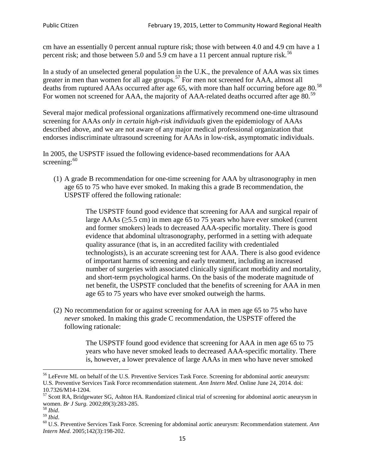cm have an essentially 0 percent annual rupture risk; those with between 4.0 and 4.9 cm have a 1 percent risk; and those between 5.0 and 5.9 cm have a 11 percent annual rupture risk.<sup>[56](#page-14-0)</sup>

In a study of an unselected general population in the U.K., the prevalence of AAA was six times greater in men than women for all age groups.<sup>[57](#page-14-1)</sup> For men not screened for  $AAA$ , almost all deaths from ruptured AAAs occurred after age 65, with more than half occurring before age 80.<sup>[58](#page-14-2)</sup> For women not screened for AAA, the majority of AAA-related deaths occurred after age 80.<sup>[59](#page-14-3)</sup>

Several major medical professional organizations affirmatively recommend one-time ultrasound screening for AAAs *only in certain high-risk individuals* given the epidemiology of AAAs described above, and we are not aware of any major medical professional organization that endorses indiscriminate ultrasound screening for AAAs in low-risk, asymptomatic individuals.

In 2005, the USPSTF issued the following evidence-based recommendations for AAA screening: $60$ 

(1) A grade B recommendation for one-time screening for AAA by ultrasonography in men age 65 to 75 who have ever smoked. In making this a grade [B recommendation,](http://www.uspreventiveservicestaskforce.org/uspstf/gradespre.htm#brec) the USPSTF offered the following rationale:

> The USPSTF found good evidence that screening for AAA and surgical repair of large AAAs ( $\geq$ 5.5 cm) in men age 65 to 75 years who have ever smoked (current and former smokers) leads to decreased AAA-specific mortality. There is good evidence that abdominal ultrasonography, performed in a setting with adequate quality assurance (that is, in an accredited facility with credentialed technologists), is an accurate screening test for AAA. There is also good evidence of important harms of screening and early treatment, including an increased number of surgeries with associated clinically significant morbidity and mortality, and short-term psychological harms. On the basis of the moderate magnitude of net benefit, the USPSTF concluded that the benefits of screening for AAA in men age 65 to 75 years who have ever smoked outweigh the harms.

(2) No recommendation for or against screening for AAA in men age 65 to 75 who have *never* smoked. In making this grade C recommendation, the USPSTF offered the following rationale:

> The USPSTF found good evidence that screening for AAA in men age 65 to 75 years who have never smoked leads to decreased AAA-specific mortality. There is, however, a lower prevalence of large AAAs in men who have never smoked

<span id="page-14-0"></span><sup>&</sup>lt;sup>56</sup> LeFevre ML on behalf of the U.S. Preventive Services Task Force. Screening for abdominal aortic aneurysm: U.S. Preventive Services Task Force recommendation statement. *Ann Intern Med*. Online June 24, 2014. doi:

<span id="page-14-1"></span><sup>10.7326/</sup>M14-1204.<br> $57$  Scott RA, Bridgewater SG, Ashton HA. Randomized clinical trial of screening for abdominal aortic aneurysm in women. *Br J Surg.* 2002;89(3):283-285.

<span id="page-14-4"></span><span id="page-14-3"></span>

<span id="page-14-2"></span><sup>&</sup>lt;sup>58</sup> *Ibid.*<br><sup>59</sup> *Ibid. Comen. Breeft Bervices Task Force. Screening for abdominal aortic aneurysm: Recommendation statement. <i>Ann* <sup>60</sup> U.S. Preventive Services Task Force. Screening for abdominal aortic aneurysm: Re *Intern Med*. 2005;142(3):198-202.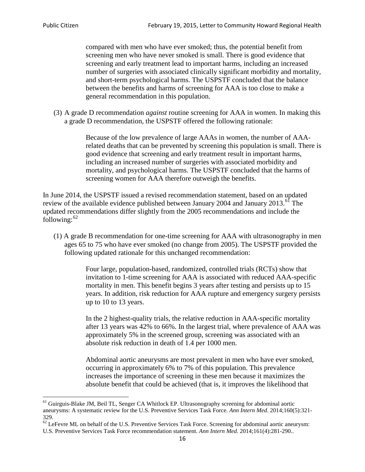compared with men who have ever smoked; thus, the potential benefit from screening men who have never smoked is small. There is good evidence that screening and early treatment lead to important harms, including an increased number of surgeries with associated clinically significant morbidity and mortality, and short-term psychological harms. The USPSTF concluded that the balance between the benefits and harms of screening for AAA is too close to make a general recommendation in this population.

(3) A grade D recommendation *against* routine screening for AAA in women. In making this a grade D recommendation, the USPSTF offered the following rationale:

> Because of the low prevalence of large AAAs in women, the number of AAArelated deaths that can be prevented by screening this population is small. There is good evidence that screening and early treatment result in important harms, including an increased number of surgeries with associated morbidity and mortality, and psychological harms. The USPSTF concluded that the harms of screening women for AAA therefore outweigh the benefits.

In June 2014, the USPSTF issued a revised recommendation statement, based on an updated review of the available evidence published between January 2004 and January 2013.<sup>[61](#page-15-0)</sup> The updated recommendations differ slightly from the 2005 recommendations and include the following: $62$ 

(1) A grade B recommendation for one-time screening for AAA with ultrasonography in men ages 65 to 75 who have ever smoked (no change from 2005). The USPSTF provided the following updated rationale for this unchanged recommendation:

> Four large, population-based, randomized, controlled trials (RCTs) show that invitation to 1-time screening for AAA is associated with reduced AAA-specific mortality in men. This benefit begins 3 years after testing and persists up to 15 years. In addition, risk reduction for AAA rupture and emergency surgery persists up to 10 to 13 years.

> In the 2 highest-quality trials, the relative reduction in AAA-specific mortality after 13 years was 42% to 66%. In the largest trial, where prevalence of AAA was approximately 5% in the screened group, screening was associated with an absolute risk reduction in death of 1.4 per 1000 men.

Abdominal aortic aneurysms are most prevalent in men who have ever smoked, occurring in approximately 6% to 7% of this population. This prevalence increases the importance of screening in these men because it maximizes the absolute benefit that could be achieved (that is, it improves the likelihood that

<span id="page-15-0"></span><sup>61</sup> Guirguis-Blake JM, Beil TL, Senger CA Whitlock EP. Ultrasonography screening for abdominal aortic aneurysms: A systematic review for the U.S. Preventive Services Task Force. *Ann Intern Med*. 2014;160(5):321- 329.

<span id="page-15-1"></span> $62$  LeFevre ML on behalf of the U.S. Preventive Services Task Force. Screening for abdominal aortic aneurysm: U.S. Preventive Services Task Force recommendation statement. *Ann Intern Med*. 2014;161(4):281-290..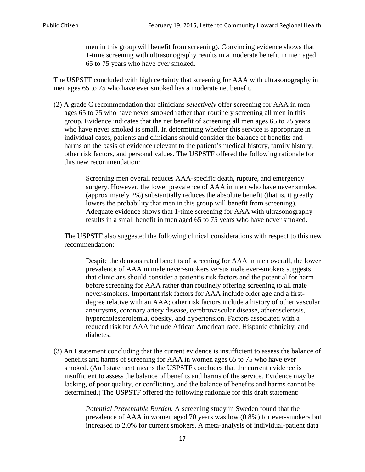men in this group will benefit from screening). Convincing evidence shows that 1-time screening with ultrasonography results in a moderate benefit in men aged 65 to 75 years who have ever smoked.

The USPSTF concluded with high certainty that screening for AAA with ultrasonography in men ages 65 to 75 who have ever smoked has a moderate net benefit.

(2) A grade C recommendation that clinicians *selectively* offer screening for AAA in men ages 65 to 75 who have never smoked rather than routinely screening all men in this group. Evidence indicates that the net benefit of screening all men ages 65 to 75 years who have never smoked is small. In determining whether this service is appropriate in individual cases, patients and clinicians should consider the balance of benefits and harms on the basis of evidence relevant to the patient's medical history, family history, other risk factors, and personal values. The USPSTF offered the following rationale for this new recommendation:

> Screening men overall reduces AAA-specific death, rupture, and emergency surgery. However, the lower prevalence of AAA in men who have never smoked (approximately 2%) substantially reduces the absolute benefit (that is, it greatly lowers the probability that men in this group will benefit from screening). Adequate evidence shows that 1-time screening for AAA with ultrasonography results in a small benefit in men aged 65 to 75 years who have never smoked.

The USPSTF also suggested the following clinical considerations with respect to this new recommendation:

Despite the demonstrated benefits of screening for AAA in men overall, the lower prevalence of AAA in male never-smokers versus male ever-smokers suggests that clinicians should consider a patient's risk factors and the potential for harm before screening for AAA rather than routinely offering screening to all male never-smokers. Important risk factors for AAA include older age and a firstdegree relative with an AAA; other risk factors include a history of other vascular aneurysms, coronary artery disease, cerebrovascular disease, atherosclerosis, hypercholesterolemia, obesity, and hypertension. Factors associated with a reduced risk for AAA include African American race, Hispanic ethnicity, and diabetes.

(3) An I statement concluding that the current evidence is insufficient to assess the balance of benefits and harms of screening for AAA in women ages 65 to 75 who have ever smoked. (An I statement means the USPSTF concludes that the current evidence is insufficient to assess the balance of benefits and harms of the service. Evidence may be lacking, of poor quality, or conflicting, and the balance of benefits and harms cannot be determined.) The USPSTF offered the following rationale for this draft statement:

> *Potential Preventable Burden.* A screening study in Sweden found that the prevalence of AAA in women aged 70 years was low (0.8%) for ever-smokers but increased to 2.0% for current smokers. A meta-analysis of individual-patient data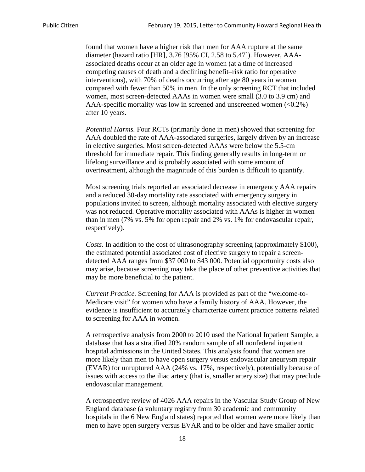found that women have a higher risk than men for AAA rupture at the same diameter (hazard ratio [HR], 3.76 [95% CI, 2.58 to 5.47]). However, AAAassociated deaths occur at an older age in women (at a time of increased competing causes of death and a declining benefit–risk ratio for operative interventions), with 70% of deaths occurring after age 80 years in women compared with fewer than 50% in men. In the only screening RCT that included women, most screen-detected AAAs in women were small (3.0 to 3.9 cm) and AAA-specific mortality was low in screened and unscreened women  $(<0.2\%)$ after 10 years.

*Potential Harms.* Four RCTs (primarily done in men) showed that screening for AAA doubled the rate of AAA-associated surgeries, largely driven by an increase in elective surgeries. Most screen-detected AAAs were below the 5.5-cm threshold for immediate repair. This finding generally results in long-term or lifelong surveillance and is probably associated with some amount of overtreatment, although the magnitude of this burden is difficult to quantify.

Most screening trials reported an associated decrease in emergency AAA repairs and a reduced 30-day mortality rate associated with emergency surgery in populations invited to screen, although mortality associated with elective surgery was not reduced. Operative mortality associated with AAAs is higher in women than in men (7% vs. 5% for open repair and 2% vs. 1% for endovascular repair, respectively).

*Costs.* In addition to the cost of ultrasonography screening (approximately \$100), the estimated potential associated cost of elective surgery to repair a screendetected AAA ranges from \$37 000 to \$43 000. Potential opportunity costs also may arise, because screening may take the place of other preventive activities that may be more beneficial to the patient.

*Current Practice.* Screening for AAA is provided as part of the "welcome-to-Medicare visit" for women who have a family history of AAA. However, the evidence is insufficient to accurately characterize current practice patterns related to screening for AAA in women.

A retrospective analysis from 2000 to 2010 used the National Inpatient Sample, a database that has a stratified 20% random sample of all nonfederal inpatient hospital admissions in the United States. This analysis found that women are more likely than men to have open surgery versus endovascular aneurysm repair (EVAR) for unruptured AAA (24% vs. 17%, respectively), potentially because of issues with access to the iliac artery (that is, smaller artery size) that may preclude endovascular management.

A retrospective review of 4026 AAA repairs in the Vascular Study Group of New England database (a voluntary registry from 30 academic and community hospitals in the 6 New England states) reported that women were more likely than men to have open surgery versus EVAR and to be older and have smaller aortic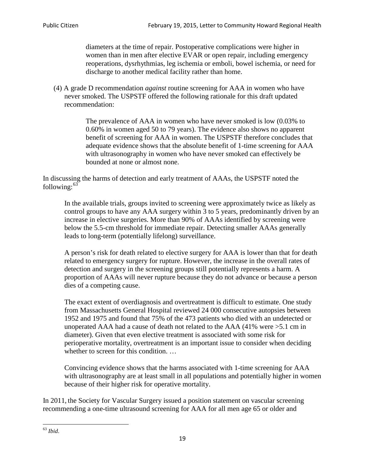diameters at the time of repair. Postoperative complications were higher in women than in men after elective EVAR or open repair, including emergency reoperations, dysrhythmias, leg ischemia or emboli, bowel ischemia, or need for discharge to another medical facility rather than home.

(4) A grade D recommendation *against* routine screening for AAA in women who have never smoked. The USPSTF offered the following rationale for this draft updated recommendation:

> The prevalence of AAA in women who have never smoked is low (0.03% to 0.60% in women aged 50 to 79 years). The evidence also shows no apparent benefit of screening for AAA in women. The USPSTF therefore concludes that adequate evidence shows that the absolute benefit of 1-time screening for AAA with ultrasonography in women who have never smoked can effectively be bounded at none or almost none.

In discussing the harms of detection and early treatment of AAAs, the USPSTF noted the following: $63$ 

In the available trials, groups invited to screening were approximately twice as likely as control groups to have any AAA surgery within 3 to 5 years, predominantly driven by an increase in elective surgeries. More than 90% of AAAs identified by screening were below the 5.5-cm threshold for immediate repair. Detecting smaller AAAs generally leads to long-term (potentially lifelong) surveillance.

A person's risk for death related to elective surgery for AAA is lower than that for death related to emergency surgery for rupture. However, the increase in the overall rates of detection and surgery in the screening groups still potentially represents a harm. A proportion of AAAs will never rupture because they do not advance or because a person dies of a competing cause.

The exact extent of overdiagnosis and overtreatment is difficult to estimate. One study from Massachusetts General Hospital reviewed 24 000 consecutive autopsies between 1952 and 1975 and found that 75% of the 473 patients who died with an undetected or unoperated AAA had a cause of death not related to the AAA (41% were >5.1 cm in diameter). Given that even elective treatment is associated with some risk for perioperative mortality, overtreatment is an important issue to consider when deciding whether to screen for this condition....

Convincing evidence shows that the harms associated with 1-time screening for AAA with ultrasonography are at least small in all populations and potentially higher in women because of their higher risk for operative mortality.

In 2011, the Society for Vascular Surgery issued a position statement on vascular screening recommending a one-time ultrasound screening for AAA for all men age 65 or older and

<span id="page-18-0"></span><sup>63</sup> *Ibid*.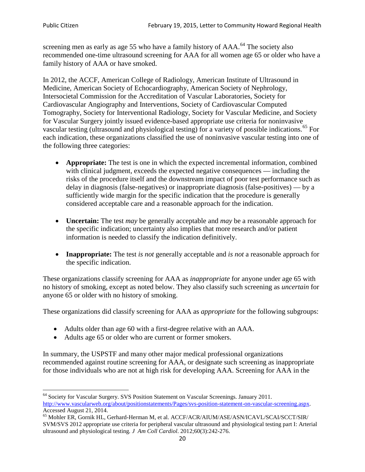screening men as early as age 55 who have a family history of AAA.<sup>[64](#page-19-0)</sup> The society also recommended one-time ultrasound screening for AAA for all women age 65 or older who have a family history of AAA or have smoked.

In 2012, the ACCF, American College of Radiology, American Institute of Ultrasound in Medicine, American Society of Echocardiography, American Society of Nephrology, Intersocietal Commission for the Accreditation of Vascular Laboratories, Society for Cardiovascular Angiography and Interventions, Society of Cardiovascular Computed Tomography, Society for Interventional Radiology, Society for Vascular Medicine, and Society for Vascular Surgery jointly issued evidence-based appropriate use criteria for noninvasive vascular testing (ultrasound and physiological testing) for a variety of possible indications.<sup>[65](#page-19-1)</sup> For each indication, these organizations classified the use of noninvasive vascular testing into one of the following three categories:

- **Appropriate:** The test is one in which the expected incremental information, combined with clinical judgment, exceeds the expected negative consequences — including the risks of the procedure itself and the downstream impact of poor test performance such as delay in diagnosis (false-negatives) or inappropriate diagnosis (false-positives) — by a sufficiently wide margin for the specific indication that the procedure is generally considered acceptable care and a reasonable approach for the indication.
- **Uncertain:** The test *may* be generally acceptable and *may* be a reasonable approach for the specific indication; uncertainty also implies that more research and/or patient information is needed to classify the indication definitively.
- **Inappropriate:** The test *is not* generally acceptable and *is not* a reasonable approach for the specific indication.

These organizations classify screening for AAA as *inappropriate* for anyone under age 65 with no history of smoking, except as noted below. They also classify such screening as *uncertain* for anyone 65 or older with no history of smoking.

These organizations did classify screening for AAA as *appropriate* for the following subgroups:

- Adults older than age 60 with a first-degree relative with an AAA.
- Adults age 65 or older who are current or former smokers.

In summary, the USPSTF and many other major medical professional organizations recommended against routine screening for AAA, or designate such screening as inappropriate for those individuals who are not at high risk for developing AAA. Screening for AAA in the

<span id="page-19-0"></span><sup>64</sup> Society for Vascular Surgery. SVS Position Statement on Vascular Screenings. January 2011. [http://www.vascularweb.org/about/positionstatements/Pages/svs-position-statement-on-vascular-screening.aspx.](http://www.vascularweb.org/about/positionstatements/Pages/svs-position-statement-on-vascular-screening.aspx) 

<span id="page-19-1"></span>Accessed August 21, 2014.<br><sup>65</sup> Mohler ER, Gornik HL, Gerhard-Herman M, et al. ACCF/ACR/AIUM/ASE/ASN/ICAVL/SCAI/SCCT/SIR/ SVM/SVS 2012 appropriate use criteria for peripheral vascular ultrasound and physiological testing part I: Arterial ultrasound and physiological testing*. J Am Coll Cardiol*. 2012;60(3):242-276.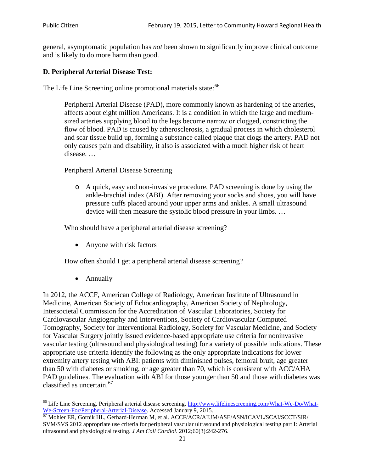general, asymptomatic population has *not* been shown to significantly improve clinical outcome and is likely to do more harm than good.

## **D. Peripheral Arterial Disease Test:**

The Life Line Screening online promotional materials state:<sup>[66](#page-20-0)</sup>

Peripheral Arterial Disease (PAD), more commonly known as hardening of the arteries, affects about eight million Americans. It is a condition in which the large and mediumsized arteries supplying blood to the legs become narrow or clogged, constricting the flow of blood. PAD is caused by atherosclerosis, a gradual process in which cholesterol and scar tissue build up, forming a substance called plaque that clogs the artery. PAD not only causes pain and disability, it also is associated with a much higher risk of heart disease. …

Peripheral Arterial Disease Screening

o A quick, easy and non-invasive procedure, PAD screening is done by using the ankle-brachial index (ABI). After removing your socks and shoes, you will have pressure cuffs placed around your upper arms and ankles. A small ultrasound device will then measure the systolic blood pressure in your limbs. …

Who should have a peripheral arterial disease screening?

• Anyone with risk factors

How often should I get a peripheral arterial disease screening?

• Annually

In 2012, the ACCF, American College of Radiology, American Institute of Ultrasound in Medicine, American Society of Echocardiography, American Society of Nephrology, Intersocietal Commission for the Accreditation of Vascular Laboratories, Society for Cardiovascular Angiography and Interventions, Society of Cardiovascular Computed Tomography, Society for Interventional Radiology, Society for Vascular Medicine, and Society for Vascular Surgery jointly issued evidence-based appropriate use criteria for noninvasive vascular testing (ultrasound and physiological testing) for a variety of possible indications. These appropriate use criteria identify the following as the only appropriate indications for lower extremity artery testing with ABI: patients with diminished pulses, femoral bruit, age greater than 50 with diabetes or smoking, or age greater than 70, which is consistent with ACC/AHA PAD guidelines. The evaluation with ABI for those younger than 50 and those with diabetes was classified as uncertain.<sup>[67](#page-20-1)</sup>

<span id="page-20-0"></span><sup>&</sup>lt;sup>66</sup> Life Line Screening. Peripheral arterial disease screening. [http://www.lifelinescreening.com/What-We-Do/What-](http://www.lifelinescreening.com/What-We-Do/What-We-Screen-For/Peripheral-Arterial-Disease)

<span id="page-20-1"></span>[We-Screen-For/Peripheral-Arterial-Disease.](http://www.lifelinescreening.com/What-We-Do/What-We-Screen-For/Peripheral-Arterial-Disease) Accessed January 9, 2015.<br><sup>67</sup> Mohler ER, Gornik HL, Gerhard-Herman M, et al. ACCF/ACR/AIUM/ASE/ASN/ICAVL/SCAI/SCCT/SIR/ SVM/SVS 2012 appropriate use criteria for peripheral vascular ultrasound and physiological testing part I: Arterial ultrasound and physiological testing. *J Am Coll Cardiol*. 2012;60(3):242-276.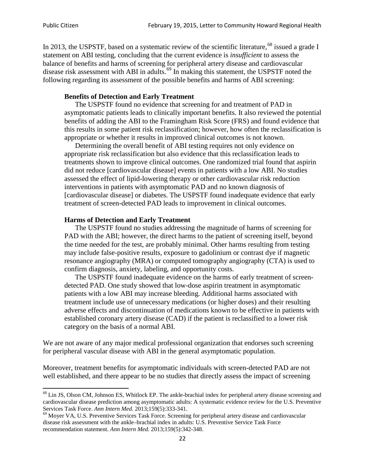In 2013, the USPSTF, based on a systematic review of the scientific literature,<sup>[68](#page-21-0)</sup> issued a grade I statement on ABI testing, concluding that the current evidence is *insufficient* to assess the balance of benefits and harms of screening for peripheral artery disease and cardiovascular disease risk assessment with ABI in adults.<sup>[69](#page-21-1)</sup> In making this statement, the USPSTF noted the following regarding its assessment of the possible benefits and harms of ABI screening:

#### **Benefits of Detection and Early Treatment**

The USPSTF found no evidence that screening for and treatment of PAD in asymptomatic patients leads to clinically important benefits. It also reviewed the potential benefits of adding the ABI to the Framingham Risk Score (FRS) and found evidence that this results in some patient risk reclassification; however, how often the reclassification is appropriate or whether it results in improved clinical outcomes is not known.

Determining the overall benefit of ABI testing requires not only evidence on appropriate risk reclassification but also evidence that this reclassification leads to treatments shown to improve clinical outcomes. One randomized trial found that aspirin did not reduce [cardiovascular disease] events in patients with a low ABI. No studies assessed the effect of lipid-lowering therapy or other cardiovascular risk reduction interventions in patients with asymptomatic PAD and no known diagnosis of [cardiovascular disease] or diabetes. The USPSTF found inadequate evidence that early treatment of screen-detected PAD leads to improvement in clinical outcomes.

#### **Harms of Detection and Early Treatment**

The USPSTF found no studies addressing the magnitude of harms of screening for PAD with the ABI; however, the direct harms to the patient of screening itself, beyond the time needed for the test, are probably minimal. Other harms resulting from testing may include false-positive results, exposure to gadolinium or contrast dye if magnetic resonance angiography (MRA) or computed tomography angiography (CTA) is used to confirm diagnosis, anxiety, labeling, and opportunity costs.

The USPSTF found inadequate evidence on the harms of early treatment of screendetected PAD. One study showed that low-dose aspirin treatment in asymptomatic patients with a low ABI may increase bleeding. Additional harms associated with treatment include use of unnecessary medications (or higher doses) and their resulting adverse effects and discontinuation of medications known to be effective in patients with established coronary artery disease (CAD) if the patient is reclassified to a lower risk category on the basis of a normal ABI.

We are not aware of any major medical professional organization that endorses such screening for peripheral vascular disease with ABI in the general asymptomatic population.

Moreover, treatment benefits for asymptomatic individuals with screen-detected PAD are not well established, and there appear to be no studies that directly assess the impact of screening

<span id="page-21-0"></span><sup>&</sup>lt;sup>68</sup> Lin JS, Olson CM, Johnson ES, Whitlock EP. The ankle-brachial index for peripheral artery disease screening and cardiovascular disease prediction among asymptomatic adults: A systematic evidence review for the U.S. Preventive Services Task Force. *Ann Intern Med.* 2013;159(5):333-341.<br><sup>69</sup> Moyer VA, U.S. Preventive Services Task Force. Screening for peripheral artery disease and cardiovascular

<span id="page-21-1"></span>disease risk assessment with the ankle–brachial index in adults: U.S. Preventive Service Task Force recommendation statement. *Ann Intern Med.* 2013;159(5):342-348.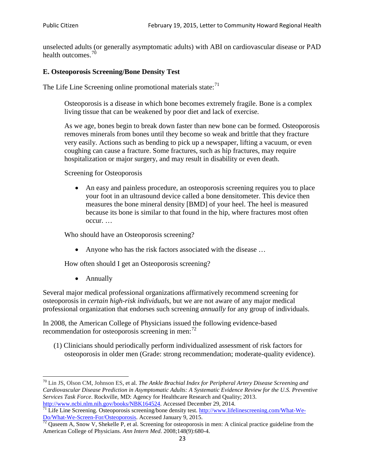unselected adults (or generally asymptomatic adults) with ABI on cardiovascular disease or PAD health outcomes.<sup>[70](#page-22-0)</sup>

## **E. Osteoporosis Screening/Bone Density Test**

The Life Line Screening online promotional materials state: $71$ 

Osteoporosis is a disease in which bone becomes extremely fragile. Bone is a complex living tissue that can be weakened by poor diet and lack of exercise.

As we age, bones begin to break down faster than new bone can be formed. Osteoporosis removes minerals from bones until they become so weak and brittle that they fracture very easily. Actions such as bending to pick up a newspaper, lifting a vacuum, or even coughing can cause a fracture. Some fractures, such as hip fractures, may require hospitalization or major surgery, and may result in disability or even death.

Screening for Osteoporosis

• An easy and painless procedure, an osteoporosis screening requires you to place your foot in an ultrasound device called a bone densitometer. This device then measures the bone mineral density [BMD] of your heel. The heel is measured because its bone is similar to that found in the hip, where fractures most often occur. …

Who should have an Osteoporosis screening?

• Anyone who has the risk factors associated with the disease ...

How often should I get an Osteoporosis screening?

• Annually

Several major medical professional organizations affirmatively recommend screening for osteoporosis in *certain high-risk individuals*, but we are not aware of any major medical professional organization that endorses such screening *annually* for any group of individuals.

In 2008, the American College of Physicians issued the following evidence-based recommendation for osteoporosis screening in men: $^{72}$  $^{72}$  $^{72}$ 

(1) Clinicians should periodically perform individualized assessment of risk factors for osteoporosis in older men (Grade: strong recommendation; moderate-quality evidence).

<span id="page-22-0"></span><sup>70</sup> [Lin JS,](http://www.ncbi.nlm.nih.gov/pubmed?term=Lin%20JS%5BAuthor%5D&cauthor=true&cauthor_uid=24156115) [Olson CM,](http://www.ncbi.nlm.nih.gov/pubmed?term=Olson%20CM%5BAuthor%5D&cauthor=true&cauthor_uid=24156115) [Johnson ES,](http://www.ncbi.nlm.nih.gov/pubmed?term=Johnson%20ES%5BAuthor%5D&cauthor=true&cauthor_uid=24156115) et al. *The Ankle Brachial Index for Peripheral Artery Disease Screening and Cardiovascular Disease Prediction in Asymptomatic Adults: A Systematic Evidence Review for the U.S. Preventive Services Task Force*. Rockville, MD: Agency for Healthcare Research and Quality; 2013.<br>http://www.ncbi.nlm.nih.gov/books/NBK164524. Accessed December 29, 2014.

<span id="page-22-1"></span> $\frac{1}{71}$  Life Line Screening. Osteoporosis screening/bone density test. [http://www.lifelinescreening.com/What-We-](http://www.lifelinescreening.com/What-We-Do/What-We-Screen-For/Osteoporosis) $\frac{Do/What-We-Screen-For/Osteoporosis}{72}$  Qaseem A, Snow V, Shekelle P, et al. Screening for osteoporosis in men: A clinical practice guideline from the

<span id="page-22-2"></span>American College of Physicians. *Ann Intern Med*. 2008;148(9):680-4.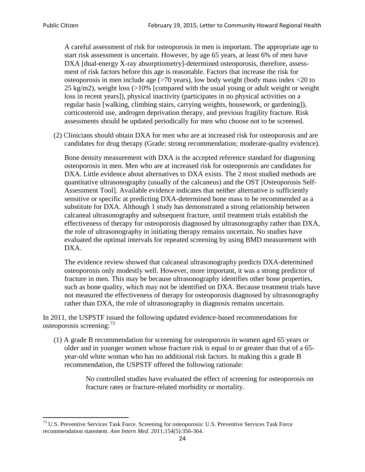A careful assessment of risk for osteoporosis in men is important. The appropriate age to start risk assessment is uncertain. However, by age 65 years, at least 6% of men have DXA [dual-energy X-ray absorptiometry]-determined osteoporosis, therefore, assessment of risk factors before this age is reasonable. Factors that increase the risk for osteoporosis in men include age (>70 years), low body weight (body mass index <20 to 25 kg/m2), weight loss (>10% [compared with the usual young or adult weight or weight loss in recent years]), physical inactivity (participates in no physical activities on a regular basis [walking, climbing stairs, carrying weights, housework, or gardening]), corticosteroid use, androgen deprivation therapy, and previous fragility fracture. Risk assessments should be updated periodically for men who choose not to be screened.

(2) Clinicians should obtain DXA for men who are at increased risk for osteoporosis and are candidates for drug therapy (Grade: strong recommendation; moderate-quality evidence).

Bone density measurement with DXA is the accepted reference standard for diagnosing osteoporosis in men. Men who are at increased risk for osteoporosis are candidates for DXA. Little evidence about alternatives to DXA exists. The 2 most studied methods are quantitative ultrasonography (usually of the calcaneus) and the OST [Osteoporosis Self-Assessment Tool]. Available evidence indicates that neither alternative is sufficiently sensitive or specific at predicting DXA-determined bone mass to be recommended as a substitute for DXA. Although 1 study has demonstrated a strong relationship between calcaneal ultrasonography and subsequent fracture, until treatment trials establish the effectiveness of therapy for osteoporosis diagnosed by ultrasonography rather than DXA, the role of ultrasonography in initiating therapy remains uncertain. No studies have evaluated the optimal intervals for repeated screening by using BMD measurement with DXA.

The evidence review showed that calcaneal ultrasonography predicts DXA-determined osteoporosis only modestly well. However, more important, it was a strong predictor of fracture in men. This may be because ultrasonography identifies other bone properties, such as bone quality, which may not be identified on DXA. Because treatment trials have not measured the effectiveness of therapy for osteoporosis diagnosed by ultrasonography rather than DXA, the role of ultrasonography in diagnosis remains uncertain.

In 2011, the USPSTF issued the following updated evidence-based recommendations for osteoporosis screening:<sup>[73](#page-23-0)</sup>

(1) A grade B recommendation for screening for osteoporosis in women aged 65 years or older and in younger women whose fracture risk is equal to or greater than that of a 65 year-old white woman who has no additional risk factors. In making this a grade B recommendation, the USPSTF offered the following rationale:

> No controlled studies have evaluated the effect of screening for osteoporosis on fracture rates or fracture-related morbidity or mortality.

<span id="page-23-0"></span><sup>&</sup>lt;sup>73</sup> U.S. Preventive Services Task Force. Screening for osteoporosis: U.S. Preventive Services Task Force recommendation statement. *Ann Intern Med*. 2011;154(5):356-364.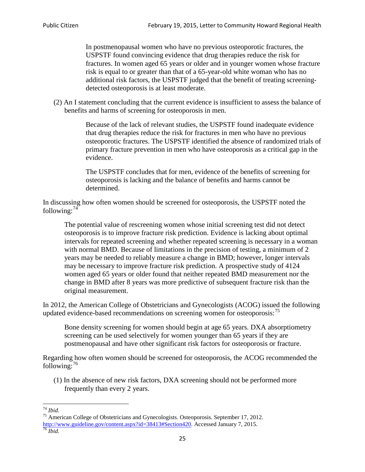In postmenopausal women who have no previous osteoporotic fractures, the USPSTF found convincing evidence that drug therapies reduce the risk for fractures. In women aged 65 years or older and in younger women whose fracture risk is equal to or greater than that of a 65-year-old white woman who has no additional risk factors, the USPSTF judged that the benefit of treating screeningdetected osteoporosis is at least moderate.

(2) An I statement concluding that the current evidence is insufficient to assess the balance of benefits and harms of screening for osteoporosis in men.

> Because of the lack of relevant studies, the USPSTF found inadequate evidence that drug therapies reduce the risk for fractures in men who have no previous osteoporotic fractures. The USPSTF identified the absence of randomized trials of primary fracture prevention in men who have osteoporosis as a critical gap in the evidence.

The USPSTF concludes that for men, evidence of the benefits of screening for osteoporosis is lacking and the balance of benefits and harms cannot be determined.

In discussing how often women should be screened for osteoporosis, the USPSTF noted the following: $74$ 

The potential value of rescreening women whose initial screening test did not detect osteoporosis is to improve fracture risk prediction. Evidence is lacking about optimal intervals for repeated screening and whether repeated screening is necessary in a woman with normal BMD. Because of limitations in the precision of testing, a minimum of 2 years may be needed to reliably measure a change in BMD; however, longer intervals may be necessary to improve fracture risk prediction. A prospective study of 4124 women aged 65 years or older found that neither repeated BMD measurement nor the change in BMD after 8 years was more predictive of subsequent fracture risk than the original measurement.

In 2012, the American College of Obstetricians and Gynecologists (ACOG) issued the following updated evidence-based recommendations on screening women for osteoporosis:<sup>[75](#page-24-1)</sup>

Bone density screening for women should begin at age 65 years. DXA absorptiometry screening can be used selectively for women younger than 65 years if they are postmenopausal and have other significant risk factors for osteoporosis or fracture.

Regarding how often women should be screened for osteoporosis, the ACOG recommended the following: $^{76}$  $^{76}$  $^{76}$ 

(1) In the absence of new risk factors, DXA screening should not be performed more frequently than every 2 years.

<span id="page-24-2"></span><span id="page-24-1"></span><span id="page-24-0"></span><sup>74</sup> *Ibid.* <sup>75</sup> American College of Obstetricians and Gynecologists. Osteoporosis. September 17, 2012. [http://www.guideline.gov/content.aspx?id=38413#Section420.](http://www.guideline.gov/content.aspx?id=38413#Section420) Accessed January 7, 2015.<br><sup>76</sup> *Ibid.*